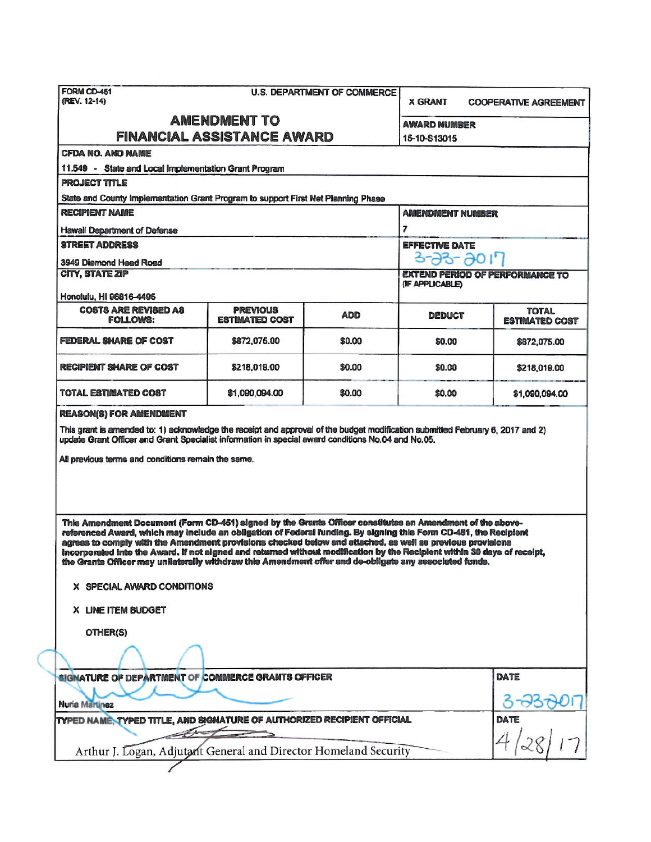| FORM CD-451<br>(REV. 12-14)                                                                                                                                                                                                                                                                                                                                                                                                                                                                                                                                                                                                                                                                             |                                                                                   | <b>U.S. DEPARTMENT OF COMMERCE</b>                        | <b>X GRANT</b>                      | <b>COOPERATIVE AGREEMENT</b>          |  |  |  |  |
|---------------------------------------------------------------------------------------------------------------------------------------------------------------------------------------------------------------------------------------------------------------------------------------------------------------------------------------------------------------------------------------------------------------------------------------------------------------------------------------------------------------------------------------------------------------------------------------------------------------------------------------------------------------------------------------------------------|-----------------------------------------------------------------------------------|-----------------------------------------------------------|-------------------------------------|---------------------------------------|--|--|--|--|
| <b>AMENDMENT TO</b><br><b>FINANCIAL ASSISTANCE AWARD</b>                                                                                                                                                                                                                                                                                                                                                                                                                                                                                                                                                                                                                                                |                                                                                   |                                                           | <b>AWARD NUMBER</b><br>15-10-S13015 |                                       |  |  |  |  |
| <b>CFDA NO. AND NAME</b>                                                                                                                                                                                                                                                                                                                                                                                                                                                                                                                                                                                                                                                                                |                                                                                   |                                                           |                                     |                                       |  |  |  |  |
| 11.549 - State and Local Implementation Grant Program                                                                                                                                                                                                                                                                                                                                                                                                                                                                                                                                                                                                                                                   |                                                                                   |                                                           |                                     |                                       |  |  |  |  |
| <b>PROJECT TITLE</b>                                                                                                                                                                                                                                                                                                                                                                                                                                                                                                                                                                                                                                                                                    |                                                                                   |                                                           |                                     |                                       |  |  |  |  |
|                                                                                                                                                                                                                                                                                                                                                                                                                                                                                                                                                                                                                                                                                                         | State and County Implementation Grant Program to support First Net Planning Phase |                                                           |                                     |                                       |  |  |  |  |
| <b>RECIPIENT NAME</b>                                                                                                                                                                                                                                                                                                                                                                                                                                                                                                                                                                                                                                                                                   |                                                                                   | <b>AMENDMENT NUMBER</b>                                   |                                     |                                       |  |  |  |  |
| <b>Hawaii Department of Defense</b>                                                                                                                                                                                                                                                                                                                                                                                                                                                                                                                                                                                                                                                                     |                                                                                   |                                                           | 7                                   |                                       |  |  |  |  |
| <b>STREET ADDRESS</b>                                                                                                                                                                                                                                                                                                                                                                                                                                                                                                                                                                                                                                                                                   |                                                                                   |                                                           | <b>EFFECTIVE DATE</b>               |                                       |  |  |  |  |
| 3949 Diamond Head Road                                                                                                                                                                                                                                                                                                                                                                                                                                                                                                                                                                                                                                                                                  |                                                                                   |                                                           | $3 - 33 - 3017$                     |                                       |  |  |  |  |
| <b>CITY, STATE ZIP</b><br>Honolulu, HI 96816-4495                                                                                                                                                                                                                                                                                                                                                                                                                                                                                                                                                                                                                                                       |                                                                                   | <b>EXTEND PERIOD OF PERFORMANCE TO</b><br>(IF APPLICABLE) |                                     |                                       |  |  |  |  |
| <b>COSTS ARE REVISED AS</b><br><b>FOLLOWS:</b>                                                                                                                                                                                                                                                                                                                                                                                                                                                                                                                                                                                                                                                          | <b>PREVIOUS</b><br><b>ESTIMATED COST</b>                                          | <b>ADD</b>                                                | DEDUCT                              | <b>TOTAL</b><br><b>ESTIMATED COST</b> |  |  |  |  |
| FEDERAL SHARE OF COST                                                                                                                                                                                                                                                                                                                                                                                                                                                                                                                                                                                                                                                                                   | \$872,075.00                                                                      | \$0.00                                                    | \$0.00                              | \$872,075.00                          |  |  |  |  |
| <b>RECIPIENT SHARE OF COST</b>                                                                                                                                                                                                                                                                                                                                                                                                                                                                                                                                                                                                                                                                          | \$218,019.00                                                                      | \$0.00                                                    | \$0.00                              | \$218,019.00                          |  |  |  |  |
| TOTAL ESTIMATED COST                                                                                                                                                                                                                                                                                                                                                                                                                                                                                                                                                                                                                                                                                    | \$1,090,094.00                                                                    | \$0.00                                                    | \$0.00                              | \$1,090,094.00                        |  |  |  |  |
| All previous terms and conditions remain the same.<br>This Amendment Document (Form CD-451) signed by the Grants Officer constitutes an Amendment of the above-<br>referenced Award, which may include an obligation of Federal funding. By eigning this Form CD-451, the Recipient<br>agrees to comply with the Amendment provisions checked below and attached, as well as previous provisions<br>incorporated into the Award. If not signed and returned without modification by the Recipient within 30 days of receipt.<br>the Grants Officer may unilaterally withdraw this Amendment offer and de-obligate any associated funds.<br>X SPECIAL AWARD CONDITIONS<br>X LINE ITEM BUDGET<br>OTHER(S) |                                                                                   |                                                           |                                     |                                       |  |  |  |  |
| SIGNATURE OF DEPARTMENT OF COMMERCE GRANTS OFFICER                                                                                                                                                                                                                                                                                                                                                                                                                                                                                                                                                                                                                                                      |                                                                                   |                                                           |                                     | DATE                                  |  |  |  |  |
| Nuria Martinez                                                                                                                                                                                                                                                                                                                                                                                                                                                                                                                                                                                                                                                                                          |                                                                                   |                                                           |                                     |                                       |  |  |  |  |
| TYPED NAME, TYPED TITLE, AND SIGNATURE OF AUTHORIZED RECIPIENT OFFICIAL                                                                                                                                                                                                                                                                                                                                                                                                                                                                                                                                                                                                                                 | DATE                                                                              |                                                           |                                     |                                       |  |  |  |  |
| Arthur J. Logan, Adjutant General and Director Homeland Security                                                                                                                                                                                                                                                                                                                                                                                                                                                                                                                                                                                                                                        |                                                                                   |                                                           |                                     |                                       |  |  |  |  |
|                                                                                                                                                                                                                                                                                                                                                                                                                                                                                                                                                                                                                                                                                                         |                                                                                   |                                                           |                                     |                                       |  |  |  |  |